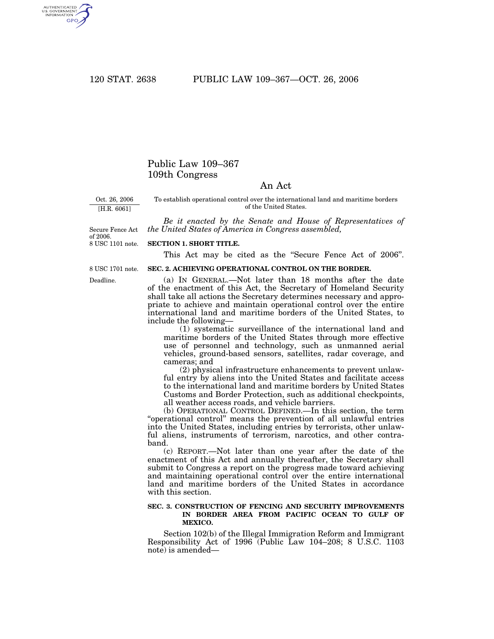AUTHENTICATED<br>U.S. GOVERNMENT<br>INFORMATION GPO

## Public Law 109–367 109th Congress

### An Act

Oct. 26, 2006 [H.R. 6061]

To establish operational control over the international land and maritime borders of the United States.

*Be it enacted by the Senate and House of Representatives of the United States of America in Congress assembled,*

8 USC 1101 note. Secure Fence Act of 2006.

#### **SECTION 1. SHORT TITLE.**

This Act may be cited as the "Secure Fence Act of 2006".

8 USC 1701 note.

Deadline.

# **SEC. 2. ACHIEVING OPERATIONAL CONTROL ON THE BORDER.**

(a) IN GENERAL.—Not later than 18 months after the date of the enactment of this Act, the Secretary of Homeland Security shall take all actions the Secretary determines necessary and appropriate to achieve and maintain operational control over the entire international land and maritime borders of the United States, to include the following—

(1) systematic surveillance of the international land and maritime borders of the United States through more effective use of personnel and technology, such as unmanned aerial vehicles, ground-based sensors, satellites, radar coverage, and cameras; and

(2) physical infrastructure enhancements to prevent unlawful entry by aliens into the United States and facilitate access to the international land and maritime borders by United States Customs and Border Protection, such as additional checkpoints, all weather access roads, and vehicle barriers.

(b) OPERATIONAL CONTROL DEFINED.—In this section, the term ''operational control'' means the prevention of all unlawful entries into the United States, including entries by terrorists, other unlawful aliens, instruments of terrorism, narcotics, and other contraband.

(c) REPORT.—Not later than one year after the date of the enactment of this Act and annually thereafter, the Secretary shall submit to Congress a report on the progress made toward achieving and maintaining operational control over the entire international land and maritime borders of the United States in accordance with this section.

### **SEC. 3. CONSTRUCTION OF FENCING AND SECURITY IMPROVEMENTS IN BORDER AREA FROM PACIFIC OCEAN TO GULF OF MEXICO.**

Section 102(b) of the Illegal Immigration Reform and Immigrant Responsibility Act of 1996 (Public Law 104–208; 8 U.S.C. 1103 note) is amended—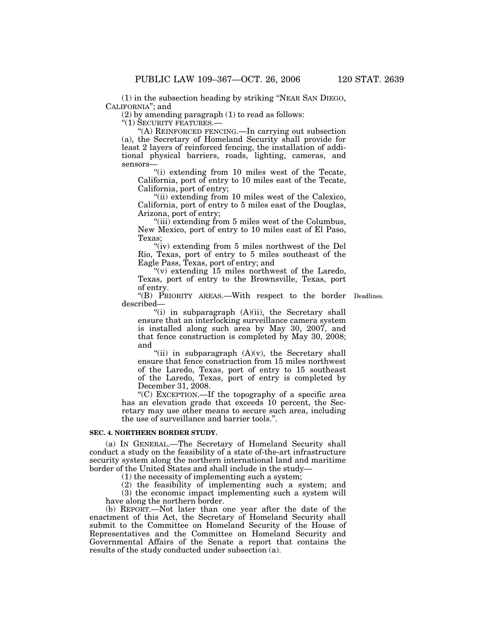(1) in the subsection heading by striking ''NEAR SAN DIEGO, CALIFORNIA''; and

(2) by amending paragraph (1) to read as follows:

 $\cdot$ (1) SECURITY FEATURES.-

''(A) REINFORCED FENCING.—In carrying out subsection (a), the Secretary of Homeland Security shall provide for least 2 layers of reinforced fencing, the installation of additional physical barriers, roads, lighting, cameras, and sensors—

''(i) extending from 10 miles west of the Tecate, California, port of entry to 10 miles east of the Tecate, California, port of entry;

"(ii) extending from 10 miles west of the Calexico, California, port of entry to 5 miles east of the Douglas, Arizona, port of entry;

''(iii) extending from 5 miles west of the Columbus, New Mexico, port of entry to 10 miles east of El Paso, Texas;

"(iv) extending from 5 miles northwest of the Del Rio, Texas, port of entry to 5 miles southeast of the Eagle Pass, Texas, port of entry; and

 $''(v)$  extending 15 miles northwest of the Laredo, Texas, port of entry to the Brownsville, Texas, port of entry.

''(B) PRIORITY AREAS.—With respect to the border Deadlines. described—

"(i) in subparagraph (A)(ii), the Secretary shall ensure that an interlocking surveillance camera system is installed along such area by May 30, 2007, and that fence construction is completed by May 30, 2008; and

"(ii) in subparagraph  $(A)(v)$ , the Secretary shall ensure that fence construction from 15 miles northwest of the Laredo, Texas, port of entry to 15 southeast of the Laredo, Texas, port of entry is completed by December 31, 2008.

''(C) EXCEPTION.—If the topography of a specific area has an elevation grade that exceeds 10 percent, the Secretary may use other means to secure such area, including the use of surveillance and barrier tools.''.

### **SEC. 4. NORTHERN BORDER STUDY.**

(a) IN GENERAL.—The Secretary of Homeland Security shall conduct a study on the feasibility of a state of-the-art infrastructure security system along the northern international land and maritime border of the United States and shall include in the study—

(1) the necessity of implementing such a system;

(2) the feasibility of implementing such a system; and (3) the economic impact implementing such a system will have along the northern border.

(b) REPORT.—Not later than one year after the date of the enactment of this Act, the Secretary of Homeland Security shall submit to the Committee on Homeland Security of the House of Representatives and the Committee on Homeland Security and Governmental Affairs of the Senate a report that contains the results of the study conducted under subsection (a).